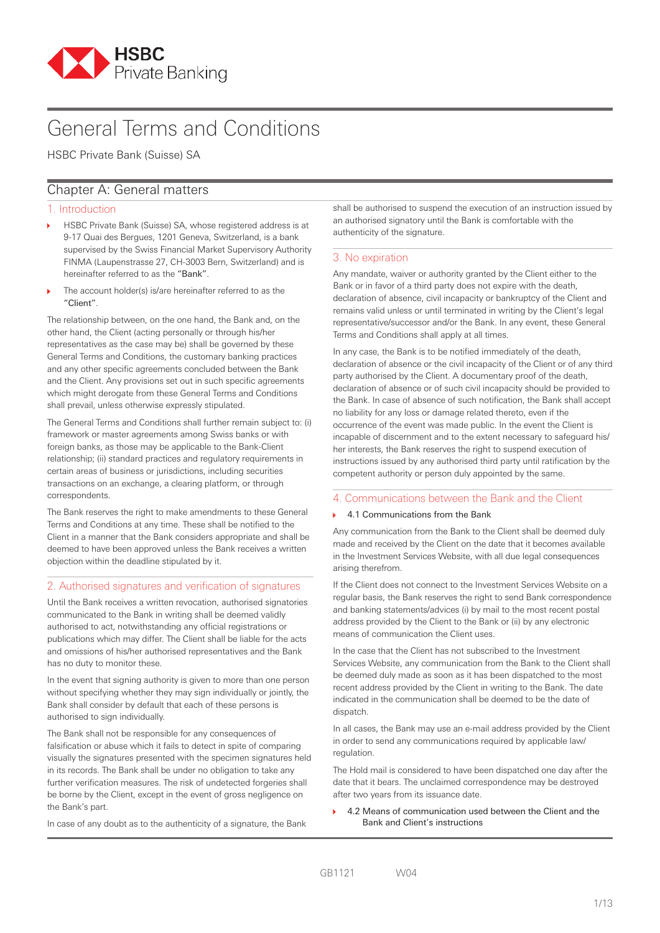

# General Terms and Conditions

HSBC Private Bank (Suisse) SA

# Chapter A: General matters

# 1. Introduction

- HSBC Private Bank (Suisse) SA, whose registered address is at 9-17 Quai des Bergues, 1201 Geneva, Switzerland, is a bank supervised by the Swiss Financial Market Supervisory Authority FINMA (Laupenstrasse 27, CH-3003 Bern, Switzerland) and is hereinafter referred to as the "Bank".
- The account holder(s) is/are hereinafter referred to as the "Client".

The relationship between, on the one hand, the Bank and, on the other hand, the Client (acting personally or through his/her representatives as the case may be) shall be governed by these General Terms and Conditions, the customary banking practices and any other specific agreements concluded between the Bank and the Client. Any provisions set out in such specific agreements which might derogate from these General Terms and Conditions shall prevail, unless otherwise expressly stipulated.

The General Terms and Conditions shall further remain subject to: (i) framework or master agreements among Swiss banks or with foreign banks, as those may be applicable to the Bank-Client relationship; (ii) standard practices and regulatory requirements in certain areas of business or jurisdictions, including securities transactions on an exchange, a clearing platform, or through correspondents.

The Bank reserves the right to make amendments to these General Terms and Conditions at any time. These shall be notified to the Client in a manner that the Bank considers appropriate and shall be deemed to have been approved unless the Bank receives a written objection within the deadline stipulated by it.

# 2. Authorised signatures and verification of signatures

Until the Bank receives a written revocation, authorised signatories communicated to the Bank in writing shall be deemed validly authorised to act, notwithstanding any official registrations or publications which may differ. The Client shall be liable for the acts and omissions of his/her authorised representatives and the Bank has no duty to monitor these.

In the event that signing authority is given to more than one person without specifying whether they may sign individually or jointly, the Bank shall consider by default that each of these persons is authorised to sign individually.

The Bank shall not be responsible for any consequences of falsification or abuse which it fails to detect in spite of comparing visually the signatures presented with the specimen signatures held in its records. The Bank shall be under no obligation to take any further verification measures. The risk of undetected forgeries shall be borne by the Client, except in the event of gross negligence on the Bank's part.

In case of any doubt as to the authenticity of a signature, the Bank

shall be authorised to suspend the execution of an instruction issued by an authorised signatory until the Bank is comfortable with the authenticity of the signature.

# 3. No expiration

Any mandate, waiver or authority granted by the Client either to the Bank or in favor of a third party does not expire with the death, declaration of absence, civil incapacity or bankruptcy of the Client and remains valid unless or until terminated in writing by the Client's legal representative/successor and/or the Bank. In any event, these General Terms and Conditions shall apply at all times.

In any case, the Bank is to be notified immediately of the death, declaration of absence or the civil incapacity of the Client or of any third party authorised by the Client. A documentary proof of the death, declaration of absence or of such civil incapacity should be provided to the Bank. In case of absence of such notification, the Bank shall accept no liability for any loss or damage related thereto, even if the occurrence of the event was made public. In the event the Client is incapable of discernment and to the extent necessary to safeguard his/ her interests, the Bank reserves the right to suspend execution of instructions issued by any authorised third party until ratification by the competent authority or person duly appointed by the same.

# 4. Communications between the Bank and the Client

## 4.1 Communications from the Bank

Any communication from the Bank to the Client shall be deemed duly made and received by the Client on the date that it becomes available in the Investment Services Website, with all due legal consequences arising therefrom.

If the Client does not connect to the Investment Services Website on a regular basis, the Bank reserves the right to send Bank correspondence and banking statements/advices (i) by mail to the most recent postal address provided by the Client to the Bank or (ii) by any electronic means of communication the Client uses.

In the case that the Client has not subscribed to the Investment Services Website, any communication from the Bank to the Client shall be deemed duly made as soon as it has been dispatched to the most recent address provided by the Client in writing to the Bank. The date indicated in the communication shall be deemed to be the date of dispatch.

In all cases, the Bank may use an e-mail address provided by the Client in order to send any communications required by applicable law/ regulation.

The Hold mail is considered to have been dispatched one day after the date that it bears. The unclaimed correspondence may be destroyed after two years from its issuance date.

 4.2 Means of communication used between the Client and the Bank and Client's instructions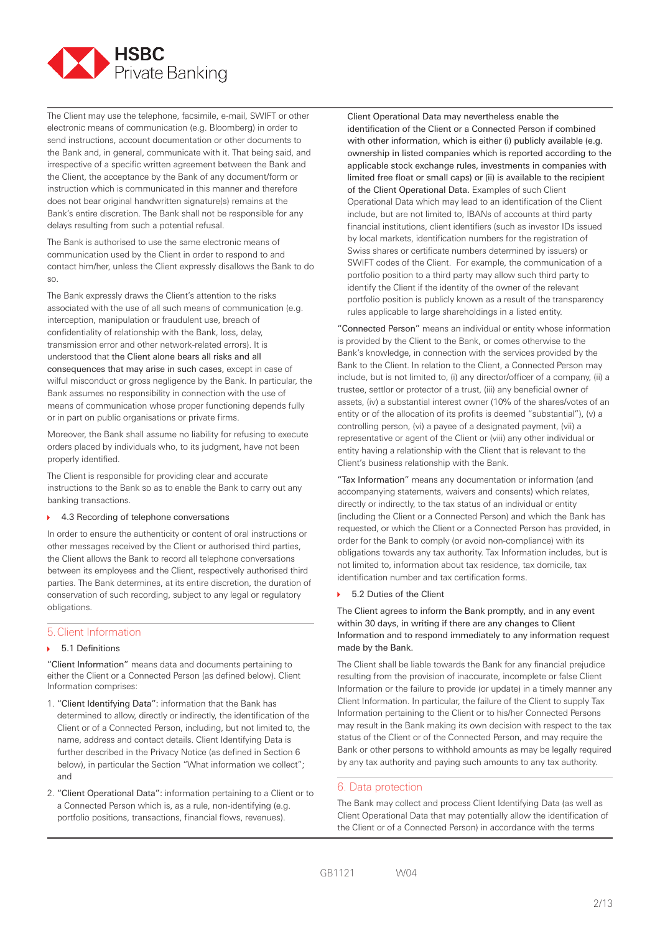

The Client may use the telephone, facsimile, e-mail, SWIFT or other electronic means of communication (e.g. Bloomberg) in order to send instructions, account documentation or other documents to the Bank and, in general, communicate with it. That being said, and irrespective of a specific written agreement between the Bank and the Client, the acceptance by the Bank of any document/form or instruction which is communicated in this manner and therefore does not bear original handwritten signature(s) remains at the Bank's entire discretion. The Bank shall not be responsible for any delays resulting from such a potential refusal.

The Bank is authorised to use the same electronic means of communication used by the Client in order to respond to and contact him/her, unless the Client expressly disallows the Bank to do so.

The Bank expressly draws the Client's attention to the risks associated with the use of all such means of communication (e.g. interception, manipulation or fraudulent use, breach of confidentiality of relationship with the Bank, loss, delay, transmission error and other network-related errors). It is understood that the Client alone bears all risks and all consequences that may arise in such cases, except in case of wilful misconduct or gross negligence by the Bank. In particular, the Bank assumes no responsibility in connection with the use of means of communication whose proper functioning depends fully or in part on public organisations or private firms.

Moreover, the Bank shall assume no liability for refusing to execute orders placed by individuals who, to its judgment, have not been properly identified.

The Client is responsible for providing clear and accurate instructions to the Bank so as to enable the Bank to carry out any banking transactions.

#### ▶ 4.3 Recording of telephone conversations

In order to ensure the authenticity or content of oral instructions or other messages received by the Client or authorised third parties, the Client allows the Bank to record all telephone conversations between its employees and the Client, respectively authorised third parties. The Bank determines, at its entire discretion, the duration of conservation of such recording, subject to any legal or regulatory obligations.

# 5.Client Information

#### 5.1 Definitions

"Client Information" means data and documents pertaining to either the Client or a Connected Person (as defined below). Client Information comprises:

- 1. "Client Identifying Data": information that the Bank has determined to allow, directly or indirectly, the identification of the Client or of a Connected Person, including, but not limited to, the name, address and contact details. Client Identifying Data is further described in the Privacy Notice (as defined in Section 6 below), in particular the Section "What information we collect"; and
- 2. "Client Operational Data": information pertaining to a Client or to a Connected Person which is, as a rule, non-identifying (e.g. portfolio positions, transactions, financial flows, revenues).

 Client Operational Data may nevertheless enable the identification of the Client or a Connected Person if combined with other information, which is either (i) publicly available (e.g. ownership in listed companies which is reported according to the applicable stock exchange rules, investments in companies with limited free float or small caps) or (ii) is available to the recipient of the Client Operational Data. Examples of such Client Operational Data which may lead to an identification of the Client include, but are not limited to, IBANs of accounts at third party financial institutions, client identifiers (such as investor IDs issued by local markets, identification numbers for the registration of Swiss shares or certificate numbers determined by issuers) or SWIFT codes of the Client. For example, the communication of a portfolio position to a third party may allow such third party to identify the Client if the identity of the owner of the relevant portfolio position is publicly known as a result of the transparency rules applicable to large shareholdings in a listed entity.

"Connected Person" means an individual or entity whose information is provided by the Client to the Bank, or comes otherwise to the Bank's knowledge, in connection with the services provided by the Bank to the Client. In relation to the Client, a Connected Person may include, but is not limited to, (i) any director/officer of a company, (ii) a trustee, settlor or protector of a trust, (iii) any beneficial owner of assets, (iv) a substantial interest owner (10% of the shares/votes of an entity or of the allocation of its profits is deemed "substantial"), (v) a controlling person, (vi) a payee of a designated payment, (vii) a representative or agent of the Client or (viii) any other individual or entity having a relationship with the Client that is relevant to the Client's business relationship with the Bank.

"Tax Information" means any documentation or information (and accompanying statements, waivers and consents) which relates, directly or indirectly, to the tax status of an individual or entity (including the Client or a Connected Person) and which the Bank has requested, or which the Client or a Connected Person has provided, in order for the Bank to comply (or avoid non-compliance) with its obligations towards any tax authority. Tax Information includes, but is not limited to, information about tax residence, tax domicile, tax identification number and tax certification forms.

#### 5.2 Duties of the Client

The Client agrees to inform the Bank promptly, and in any event within 30 days, in writing if there are any changes to Client Information and to respond immediately to any information request made by the Bank.

The Client shall be liable towards the Bank for any financial prejudice resulting from the provision of inaccurate, incomplete or false Client Information or the failure to provide (or update) in a timely manner any Client Information. In particular, the failure of the Client to supply Tax Information pertaining to the Client or to his/her Connected Persons may result in the Bank making its own decision with respect to the tax status of the Client or of the Connected Person, and may require the Bank or other persons to withhold amounts as may be legally required by any tax authority and paying such amounts to any tax authority.

#### 6. Data protection

The Bank may collect and process Client Identifying Data (as well as Client Operational Data that may potentially allow the identification of the Client or of a Connected Person) in accordance with the terms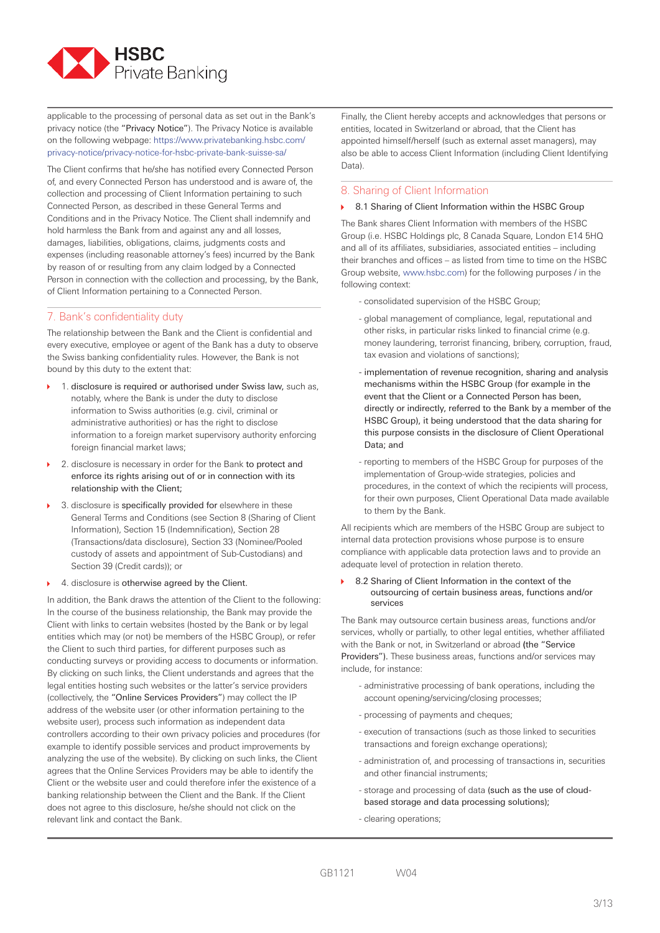

applicable to the processing of personal data as set out in the Bank's privacy notice (the "Privacy Notice"). The Privacy Notice is available on the following webpage: https://www.privatebanking.hsbc.com/ privacy-notice/privacy-notice-for-hsbc-private-bank-suisse-sa/

The Client confirms that he/she has notified every Connected Person of, and every Connected Person has understood and is aware of, the collection and processing of Client Information pertaining to such Connected Person, as described in these General Terms and Conditions and in the Privacy Notice. The Client shall indemnify and hold harmless the Bank from and against any and all losses, damages, liabilities, obligations, claims, judgments costs and expenses (including reasonable attorney's fees) incurred by the Bank by reason of or resulting from any claim lodged by a Connected Person in connection with the collection and processing, by the Bank, of Client Information pertaining to a Connected Person.

# 7. Bank's confidentiality duty

The relationship between the Bank and the Client is confidential and every executive, employee or agent of the Bank has a duty to observe the Swiss banking confidentiality rules. However, the Bank is not bound by this duty to the extent that:

- ▶ 1. disclosure is required or authorised under Swiss law, such as, notably, where the Bank is under the duty to disclose information to Swiss authorities (e.g. civil, criminal or administrative authorities) or has the right to disclose information to a foreign market supervisory authority enforcing foreign financial market laws;
- ▶ 2. disclosure is necessary in order for the Bank to protect and enforce its rights arising out of or in connection with its relationship with the Client;
- ▶ 3. disclosure is specifically provided for elsewhere in these General Terms and Conditions (see Section 8 (Sharing of Client Information), Section 15 (Indemnification), Section 28 (Transactions/data disclosure), Section 33 (Nominee/Pooled custody of assets and appointment of Sub-Custodians) and Section 39 (Credit cards)); or
- ▶ 4. disclosure is otherwise agreed by the Client.

In addition, the Bank draws the attention of the Client to the following: In the course of the business relationship, the Bank may provide the Client with links to certain websites (hosted by the Bank or by legal entities which may (or not) be members of the HSBC Group), or refer the Client to such third parties, for different purposes such as conducting surveys or providing access to documents or information. By clicking on such links, the Client understands and agrees that the legal entities hosting such websites or the latter's service providers (collectively, the "Online Services Providers") may collect the IP address of the website user (or other information pertaining to the website user), process such information as independent data controllers according to their own privacy policies and procedures (for example to identify possible services and product improvements by analyzing the use of the website). By clicking on such links, the Client agrees that the Online Services Providers may be able to identify the Client or the website user and could therefore infer the existence of a banking relationship between the Client and the Bank. If the Client does not agree to this disclosure, he/she should not click on the relevant link and contact the Bank.

Finally, the Client hereby accepts and acknowledges that persons or entities, located in Switzerland or abroad, that the Client has appointed himself/herself (such as external asset managers), may also be able to access Client Information (including Client Identifying Data).

# 8. Sharing of Client Information

#### ▶ 8.1 Sharing of Client Information within the HSBC Group

The Bank shares Client Information with members of the HSBC Group (i.e. HSBC Holdings plc, 8 Canada Square, London E14 5HQ and all of its affiliates, subsidiaries, associated entities – including their branches and offices – as listed from time to time on the HSBC Group website, www.hsbc.com) for the following purposes / in the following context:

- consolidated supervision of the HSBC Group;
- global management of compliance, legal, reputational and other risks, in particular risks linked to financial crime (e.g. money laundering, terrorist financing, bribery, corruption, fraud, tax evasion and violations of sanctions);
- implementation of revenue recognition, sharing and analysis mechanisms within the HSBC Group (for example in the event that the Client or a Connected Person has been, directly or indirectly, referred to the Bank by a member of the HSBC Group), it being understood that the data sharing for this purpose consists in the disclosure of Client Operational Data; and
- reporting to members of the HSBC Group for purposes of the implementation of Group-wide strategies, policies and procedures, in the context of which the recipients will process, for their own purposes, Client Operational Data made available to them by the Bank.

All recipients which are members of the HSBC Group are subject to internal data protection provisions whose purpose is to ensure compliance with applicable data protection laws and to provide an adequate level of protection in relation thereto.

▶ 8.2 Sharing of Client Information in the context of the outsourcing of certain business areas, functions and/or services

The Bank may outsource certain business areas, functions and/or services, wholly or partially, to other legal entities, whether affiliated with the Bank or not, in Switzerland or abroad (the "Service Providers"). These business areas, functions and/or services may include, for instance:

- administrative processing of bank operations, including the account opening/servicing/closing processes;
- processing of payments and cheques;
- execution of transactions (such as those linked to securities transactions and foreign exchange operations);
- administration of, and processing of transactions in, securities and other financial instruments;
- storage and processing of data (such as the use of cloudbased storage and data processing solutions);
- clearing operations;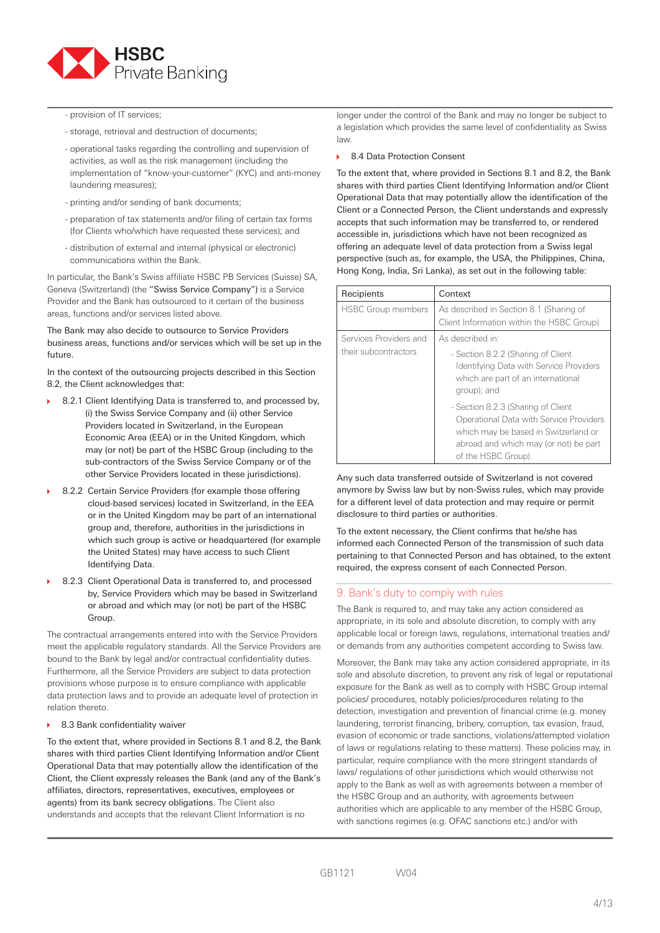

- provision of IT services;

- storage, retrieval and destruction of documents;
- operational tasks regarding the controlling and supervision of activities, as well as the risk management (including the implementation of "know-your-customer" (KYC) and anti-money laundering measures);
- printing and/or sending of bank documents;
- preparation of tax statements and/or filing of certain tax forms (for Clients who/which have requested these services); and
- distribution of external and internal (physical or electronic) communications within the Bank.

In particular, the Bank's Swiss affiliate HSBC PB Services (Suisse) SA, Geneva (Switzerland) (the "Swiss Service Company") is a Service Provider and the Bank has outsourced to it certain of the business areas, functions and/or services listed above.

The Bank may also decide to outsource to Service Providers business areas, functions and/or services which will be set up in the future.

In the context of the outsourcing projects described in this Section 8.2, the Client acknowledges that:

- ▶ 8.2.1 Client Identifying Data is transferred to, and processed by, (i) the Swiss Service Company and (ii) other Service Providers located in Switzerland, in the European Economic Area (EEA) or in the United Kingdom, which may (or not) be part of the HSBC Group (including to the sub-contractors of the Swiss Service Company or of the other Service Providers located in these jurisdictions).
- 8.2.2 Certain Service Providers (for example those offering cloud-based services) located in Switzerland, in the EEA or in the United Kingdom may be part of an international group and, therefore, authorities in the jurisdictions in which such group is active or headquartered (for example the United States) may have access to such Client Identifying Data.
- 8.2.3 Client Operational Data is transferred to, and processed by, Service Providers which may be based in Switzerland or abroad and which may (or not) be part of the HSBC Group.

The contractual arrangements entered into with the Service Providers meet the applicable regulatory standards. All the Service Providers are bound to the Bank by legal and/or contractual confidentiality duties. Furthermore, all the Service Providers are subject to data protection provisions whose purpose is to ensure compliance with applicable data protection laws and to provide an adequate level of protection in relation thereto.

8.3 Bank confidentiality waiver

To the extent that, where provided in Sections 8.1 and 8.2, the Bank shares with third parties Client Identifying Information and/or Client Operational Data that may potentially allow the identification of the Client, the Client expressly releases the Bank (and any of the Bank's affiliates, directors, representatives, executives, employees or agents) from its bank secrecy obligations. The Client also understands and accepts that the relevant Client Information is no

longer under the control of the Bank and may no longer be subject to a legislation which provides the same level of confidentiality as Swiss law.

▶ 8.4 Data Protection Consent

To the extent that, where provided in Sections 8.1 and 8.2, the Bank shares with third parties Client Identifying Information and/or Client Operational Data that may potentially allow the identification of the Client or a Connected Person, the Client understands and expressly accepts that such information may be transferred to, or rendered accessible in, jurisdictions which have not been recognized as offering an adequate level of data protection from a Swiss legal perspective (such as, for example, the USA, the Philippines, China, Hong Kong, India, Sri Lanka), as set out in the following table:

| Recipients                | Context                                                                                                                                                                               |  |
|---------------------------|---------------------------------------------------------------------------------------------------------------------------------------------------------------------------------------|--|
| <b>HSBC Group members</b> | As described in Section 8.1 (Sharing of<br>Client Information within the HSBC Group)                                                                                                  |  |
| Services Providers and    | As described in:                                                                                                                                                                      |  |
| their subcontractors      | - Section 8.2.2 (Sharing of Client<br>Identifying Data with Service Providers<br>which are part of an international<br>group); and                                                    |  |
|                           | - Section 8.2.3 (Sharing of Client<br>Operational Data with Service Providers<br>which may be based in Switzerland or<br>abroad and which may (or not) be part<br>of the HSBC Group). |  |

Any such data transferred outside of Switzerland is not covered anymore by Swiss law but by non-Swiss rules, which may provide for a different level of data protection and may require or permit disclosure to third parties or authorities.

To the extent necessary, the Client confirms that he/she has informed each Connected Person of the transmission of such data pertaining to that Connected Person and has obtained, to the extent required, the express consent of each Connected Person.

# 9. Bank's duty to comply with rules

The Bank is required to, and may take any action considered as appropriate, in its sole and absolute discretion, to comply with any applicable local or foreign laws, regulations, international treaties and/ or demands from any authorities competent according to Swiss law.

Moreover, the Bank may take any action considered appropriate, in its sole and absolute discretion, to prevent any risk of legal or reputational exposure for the Bank as well as to comply with HSBC Group internal policies/ procedures, notably policies/procedures relating to the detection, investigation and prevention of financial crime (e.g. money laundering, terrorist financing, bribery, corruption, tax evasion, fraud, evasion of economic or trade sanctions, violations/attempted violation of laws or regulations relating to these matters). These policies may, in particular, require compliance with the more stringent standards of laws/ regulations of other jurisdictions which would otherwise not apply to the Bank as well as with agreements between a member of the HSBC Group and an authority, with agreements between authorities which are applicable to any member of the HSBC Group, with sanctions regimes (e.g. OFAC sanctions etc.) and/or with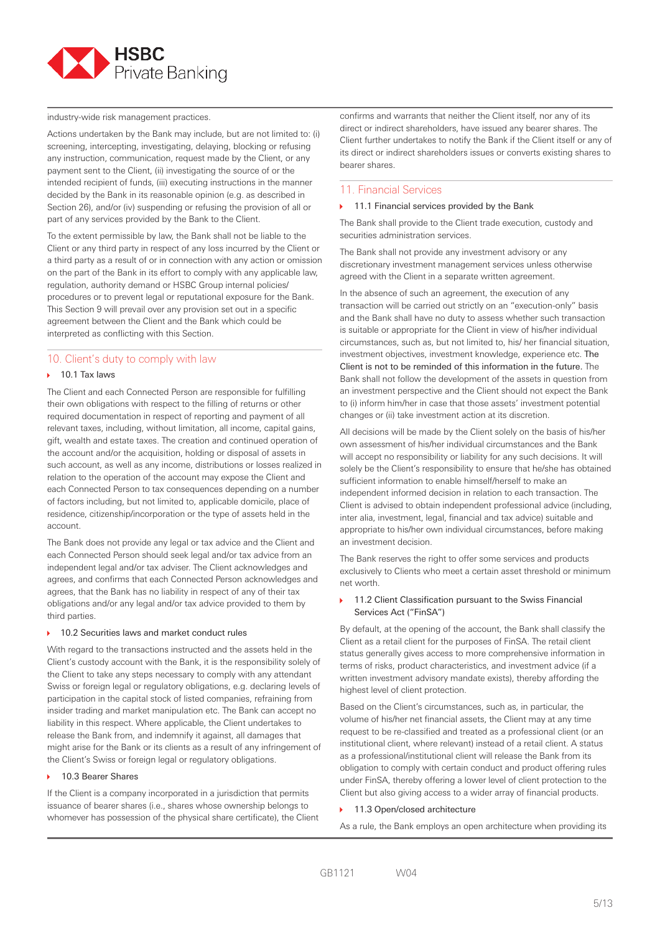

industry-wide risk management practices.

Actions undertaken by the Bank may include, but are not limited to: (i) screening, intercepting, investigating, delaying, blocking or refusing any instruction, communication, request made by the Client, or any payment sent to the Client, (ii) investigating the source of or the intended recipient of funds, (iii) executing instructions in the manner decided by the Bank in its reasonable opinion (e.g. as described in Section 26), and/or (iv) suspending or refusing the provision of all or part of any services provided by the Bank to the Client.

To the extent permissible by law, the Bank shall not be liable to the Client or any third party in respect of any loss incurred by the Client or a third party as a result of or in connection with any action or omission on the part of the Bank in its effort to comply with any applicable law, regulation, authority demand or HSBC Group internal policies/ procedures or to prevent legal or reputational exposure for the Bank. This Section 9 will prevail over any provision set out in a specific agreement between the Client and the Bank which could be interpreted as conflicting with this Section.

# 10. Client's duty to comply with law

#### $10.1$  Tay laws

The Client and each Connected Person are responsible for fulfilling their own obligations with respect to the filling of returns or other required documentation in respect of reporting and payment of all relevant taxes, including, without limitation, all income, capital gains, gift, wealth and estate taxes. The creation and continued operation of the account and/or the acquisition, holding or disposal of assets in such account, as well as any income, distributions or losses realized in relation to the operation of the account may expose the Client and each Connected Person to tax consequences depending on a number of factors including, but not limited to, applicable domicile, place of residence, citizenship/incorporation or the type of assets held in the account.

The Bank does not provide any legal or tax advice and the Client and each Connected Person should seek legal and/or tax advice from an independent legal and/or tax adviser. The Client acknowledges and agrees, and confirms that each Connected Person acknowledges and agrees, that the Bank has no liability in respect of any of their tax obligations and/or any legal and/or tax advice provided to them by third parties.

#### ▶ 10.2 Securities laws and market conduct rules

With regard to the transactions instructed and the assets held in the Client's custody account with the Bank, it is the responsibility solely of the Client to take any steps necessary to comply with any attendant Swiss or foreign legal or regulatory obligations, e.g. declaring levels of participation in the capital stock of listed companies, refraining from insider trading and market manipulation etc. The Bank can accept no liability in this respect. Where applicable, the Client undertakes to release the Bank from, and indemnify it against, all damages that might arise for the Bank or its clients as a result of any infringement of the Client's Swiss or foreign legal or regulatory obligations.

#### ▶ 10.3 Bearer Shares

If the Client is a company incorporated in a jurisdiction that permits issuance of bearer shares (i.e., shares whose ownership belongs to whomever has possession of the physical share certificate), the Client confirms and warrants that neither the Client itself, nor any of its direct or indirect shareholders, have issued any bearer shares. The Client further undertakes to notify the Bank if the Client itself or any of its direct or indirect shareholders issues or converts existing shares to bearer shares.

#### 11. Financial Services

#### $\triangleright$  11.1 Financial services provided by the Bank

The Bank shall provide to the Client trade execution, custody and securities administration services.

The Bank shall not provide any investment advisory or any discretionary investment management services unless otherwise agreed with the Client in a separate written agreement.

In the absence of such an agreement, the execution of any transaction will be carried out strictly on an "execution-only" basis and the Bank shall have no duty to assess whether such transaction is suitable or appropriate for the Client in view of his/her individual circumstances, such as, but not limited to, his/ her financial situation, investment objectives, investment knowledge, experience etc. The Client is not to be reminded of this information in the future. The Bank shall not follow the development of the assets in question from an investment perspective and the Client should not expect the Bank to (i) inform him/her in case that those assets' investment potential changes or (ii) take investment action at its discretion.

All decisions will be made by the Client solely on the basis of his/her own assessment of his/her individual circumstances and the Bank will accept no responsibility or liability for any such decisions. It will solely be the Client's responsibility to ensure that he/she has obtained sufficient information to enable himself/herself to make an independent informed decision in relation to each transaction. The Client is advised to obtain independent professional advice (including, inter alia, investment, legal, financial and tax advice) suitable and appropriate to his/her own individual circumstances, before making an investment decision.

The Bank reserves the right to offer some services and products exclusively to Clients who meet a certain asset threshold or minimum net worth.

#### 11.2 Client Classification pursuant to the Swiss Financial Services Act ("FinSA")

By default, at the opening of the account, the Bank shall classify the Client as a retail client for the purposes of FinSA. The retail client status generally gives access to more comprehensive information in terms of risks, product characteristics, and investment advice (if a written investment advisory mandate exists), thereby affording the highest level of client protection.

Based on the Client's circumstances, such as, in particular, the volume of his/her net financial assets, the Client may at any time request to be re-classified and treated as a professional client (or an institutional client, where relevant) instead of a retail client. A status as a professional/institutional client will release the Bank from its obligation to comply with certain conduct and product offering rules under FinSA, thereby offering a lower level of client protection to the Client but also giving access to a wider array of financial products.

#### 11.3 Open/closed architecture

As a rule, the Bank employs an open architecture when providing its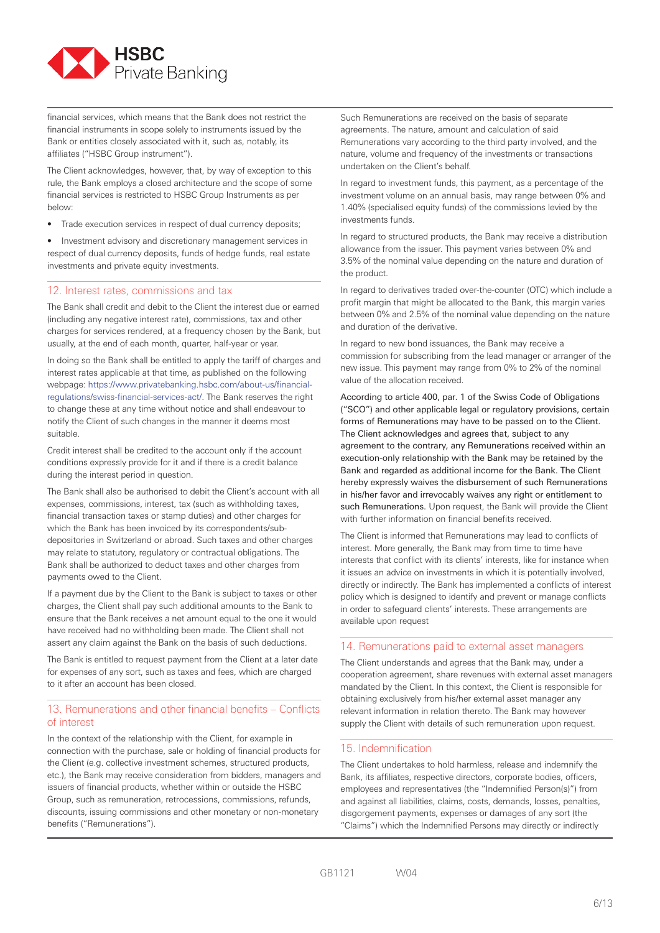

financial services, which means that the Bank does not restrict the financial instruments in scope solely to instruments issued by the Bank or entities closely associated with it, such as, notably, its affiliates ("HSBC Group instrument").

The Client acknowledges, however, that, by way of exception to this rule, the Bank employs a closed architecture and the scope of some financial services is restricted to HSBC Group Instruments as per below:

Trade execution services in respect of dual currency deposits;

• Investment advisory and discretionary management services in respect of dual currency deposits, funds of hedge funds, real estate investments and private equity investments.

#### 12. Interest rates, commissions and tax

The Bank shall credit and debit to the Client the interest due or earned (including any negative interest rate), commissions, tax and other charges for services rendered, at a frequency chosen by the Bank, but usually, at the end of each month, quarter, half-year or year.

In doing so the Bank shall be entitled to apply the tariff of charges and interest rates applicable at that time, as published on the following webpage: https://www.privatebanking.hsbc.com/about-us/financialregulations/swiss-financial-services-act/. The Bank reserves the right to change these at any time without notice and shall endeavour to notify the Client of such changes in the manner it deems most suitable.

Credit interest shall be credited to the account only if the account conditions expressly provide for it and if there is a credit balance during the interest period in question.

The Bank shall also be authorised to debit the Client's account with all expenses, commissions, interest, tax (such as withholding taxes, financial transaction taxes or stamp duties) and other charges for which the Bank has been invoiced by its correspondents/subdepositories in Switzerland or abroad. Such taxes and other charges may relate to statutory, regulatory or contractual obligations. The Bank shall be authorized to deduct taxes and other charges from payments owed to the Client.

If a payment due by the Client to the Bank is subject to taxes or other charges, the Client shall pay such additional amounts to the Bank to ensure that the Bank receives a net amount equal to the one it would have received had no withholding been made. The Client shall not assert any claim against the Bank on the basis of such deductions.

The Bank is entitled to request payment from the Client at a later date for expenses of any sort, such as taxes and fees, which are charged to it after an account has been closed.

# 13. Remunerations and other financial benefits – Conflicts of interest

In the context of the relationship with the Client, for example in connection with the purchase, sale or holding of financial products for the Client (e.g. collective investment schemes, structured products, etc.), the Bank may receive consideration from bidders, managers and issuers of financial products, whether within or outside the HSBC Group, such as remuneration, retrocessions, commissions, refunds, discounts, issuing commissions and other monetary or non-monetary benefits ("Remunerations").

Such Remunerations are received on the basis of separate agreements. The nature, amount and calculation of said Remunerations vary according to the third party involved, and the nature, volume and frequency of the investments or transactions undertaken on the Client's behalf.

In regard to investment funds, this payment, as a percentage of the investment volume on an annual basis, may range between 0% and 1.40% (specialised equity funds) of the commissions levied by the investments funds.

In regard to structured products, the Bank may receive a distribution allowance from the issuer. This payment varies between 0% and 3.5% of the nominal value depending on the nature and duration of the product.

In regard to derivatives traded over-the-counter (OTC) which include a profit margin that might be allocated to the Bank, this margin varies between 0% and 2.5% of the nominal value depending on the nature and duration of the derivative.

In regard to new bond issuances, the Bank may receive a commission for subscribing from the lead manager or arranger of the new issue. This payment may range from 0% to 2% of the nominal value of the allocation received.

According to article 400, par. 1 of the Swiss Code of Obligations ("SCO") and other applicable legal or regulatory provisions, certain forms of Remunerations may have to be passed on to the Client. The Client acknowledges and agrees that, subject to any agreement to the contrary, any Remunerations received within an execution-only relationship with the Bank may be retained by the Bank and regarded as additional income for the Bank. The Client hereby expressly waives the disbursement of such Remunerations in his/her favor and irrevocably waives any right or entitlement to such Remunerations. Upon request, the Bank will provide the Client with further information on financial benefits received.

The Client is informed that Remunerations may lead to conflicts of interest. More generally, the Bank may from time to time have interests that conflict with its clients' interests, like for instance when it issues an advice on investments in which it is potentially involved, directly or indirectly. The Bank has implemented a conflicts of interest policy which is designed to identify and prevent or manage conflicts in order to safeguard clients' interests. These arrangements are available upon request

# 14. Remunerations paid to external asset managers

The Client understands and agrees that the Bank may, under a cooperation agreement, share revenues with external asset managers mandated by the Client. In this context, the Client is responsible for obtaining exclusively from his/her external asset manager any relevant information in relation thereto. The Bank may however supply the Client with details of such remuneration upon request.

#### 15. Indemnification

The Client undertakes to hold harmless, release and indemnify the Bank, its affiliates, respective directors, corporate bodies, officers, employees and representatives (the "Indemnified Person(s)") from and against all liabilities, claims, costs, demands, losses, penalties, disgorgement payments, expenses or damages of any sort (the "Claims") which the Indemnified Persons may directly or indirectly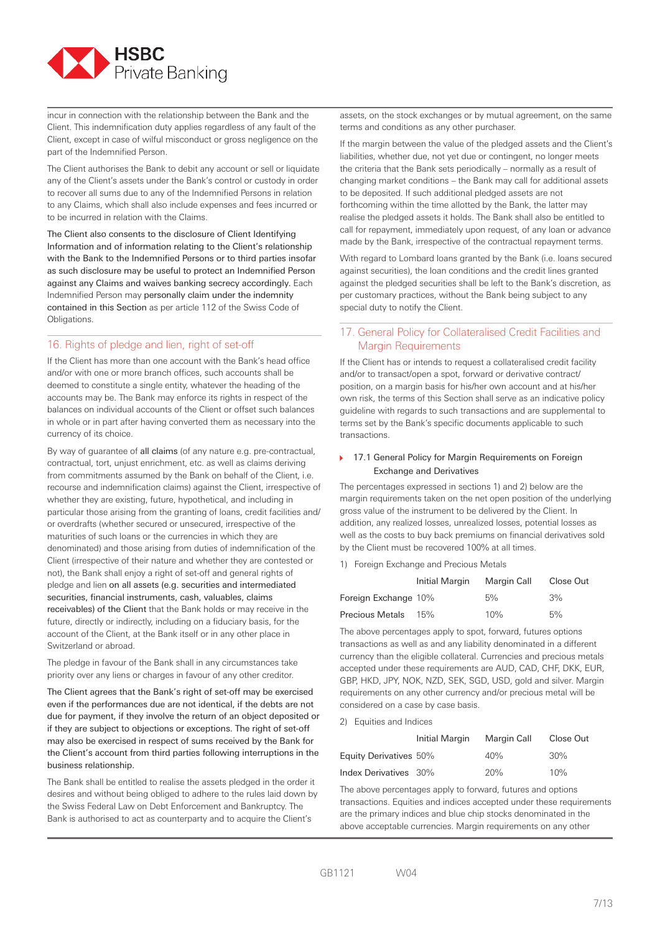

incur in connection with the relationship between the Bank and the Client. This indemnification duty applies regardless of any fault of the Client, except in case of wilful misconduct or gross negligence on the part of the Indemnified Person.

The Client authorises the Bank to debit any account or sell or liquidate any of the Client's assets under the Bank's control or custody in order to recover all sums due to any of the Indemnified Persons in relation to any Claims, which shall also include expenses and fees incurred or to be incurred in relation with the Claims.

The Client also consents to the disclosure of Client Identifying Information and of information relating to the Client's relationship with the Bank to the Indemnified Persons or to third parties insofar as such disclosure may be useful to protect an Indemnified Person against any Claims and waives banking secrecy accordingly. Each Indemnified Person may personally claim under the indemnity contained in this Section as per article 112 of the Swiss Code of Obligations.

# 16. Rights of pledge and lien, right of set-off

If the Client has more than one account with the Bank's head office and/or with one or more branch offices, such accounts shall be deemed to constitute a single entity, whatever the heading of the accounts may be. The Bank may enforce its rights in respect of the balances on individual accounts of the Client or offset such balances in whole or in part after having converted them as necessary into the currency of its choice.

By way of guarantee of all claims (of any nature e.g. pre-contractual, contractual, tort, unjust enrichment, etc. as well as claims deriving from commitments assumed by the Bank on behalf of the Client, i.e. recourse and indemnification claims) against the Client, irrespective of whether they are existing, future, hypothetical, and including in particular those arising from the granting of loans, credit facilities and/ or overdrafts (whether secured or unsecured, irrespective of the maturities of such loans or the currencies in which they are denominated) and those arising from duties of indemnification of the Client (irrespective of their nature and whether they are contested or not), the Bank shall enjoy a right of set-off and general rights of pledge and lien on all assets (e.g. securities and intermediated securities, financial instruments, cash, valuables, claims receivables) of the Client that the Bank holds or may receive in the future, directly or indirectly, including on a fiduciary basis, for the account of the Client, at the Bank itself or in any other place in Switzerland or abroad.

The pledge in favour of the Bank shall in any circumstances take priority over any liens or charges in favour of any other creditor.

The Client agrees that the Bank's right of set-off may be exercised even if the performances due are not identical, if the debts are not due for payment, if they involve the return of an object deposited or if they are subject to objections or exceptions. The right of set-off may also be exercised in respect of sums received by the Bank for the Client's account from third parties following interruptions in the business relationship.

The Bank shall be entitled to realise the assets pledged in the order it desires and without being obliged to adhere to the rules laid down by the Swiss Federal Law on Debt Enforcement and Bankruptcy. The Bank is authorised to act as counterparty and to acquire the Client's

assets, on the stock exchanges or by mutual agreement, on the same terms and conditions as any other purchaser.

If the margin between the value of the pledged assets and the Client's liabilities, whether due, not yet due or contingent, no longer meets the criteria that the Bank sets periodically – normally as a result of changing market conditions – the Bank may call for additional assets to be deposited. If such additional pledged assets are not forthcoming within the time allotted by the Bank, the latter may realise the pledged assets it holds. The Bank shall also be entitled to call for repayment, immediately upon request, of any loan or advance made by the Bank, irrespective of the contractual repayment terms.

With regard to Lombard loans granted by the Bank (i.e. loans secured against securities), the loan conditions and the credit lines granted against the pledged securities shall be left to the Bank's discretion, as per customary practices, without the Bank being subject to any special duty to notify the Client.

# 17. General Policy for Collateralised Credit Facilities and Margin Requirements

If the Client has or intends to request a collateralised credit facility and/or to transact/open a spot, forward or derivative contract/ position, on a margin basis for his/her own account and at his/her own risk, the terms of this Section shall serve as an indicative policy guideline with regards to such transactions and are supplemental to terms set by the Bank's specific documents applicable to such transactions.

#### ▶ 17.1 General Policy for Margin Requirements on Foreign Exchange and Derivatives

The percentages expressed in sections 1) and 2) below are the margin requirements taken on the net open position of the underlying gross value of the instrument to be delivered by the Client. In addition, any realized losses, unrealized losses, potential losses as well as the costs to buy back premiums on financial derivatives sold by the Client must be recovered 100% at all times.

#### 1) Foreign Exchange and Precious Metals

|                        | Initial Margin | Margin Call | Close Out |
|------------------------|----------------|-------------|-----------|
| Foreign Exchange 10%   |                | 5%          | 3%        |
| <b>Precious Metals</b> | 15%            | 10%         | 5%        |

The above percentages apply to spot, forward, futures options transactions as well as and any liability denominated in a different currency than the eligible collateral. Currencies and precious metals accepted under these requirements are AUD, CAD, CHF, DKK, EUR, GBP, HKD, JPY, NOK, NZD, SEK, SGD, USD, gold and silver. Margin requirements on any other currency and/or precious metal will be considered on a case by case basis.

## 2) Equities and Indices

|                        | Initial Margin | Margin Call | Close Out |
|------------------------|----------------|-------------|-----------|
| Equity Derivatives 50% |                | 40%         | 30%       |
| Index Derivatives 30%  |                | 20%         | 10%       |

The above percentages apply to forward, futures and options transactions. Equities and indices accepted under these requirements are the primary indices and blue chip stocks denominated in the above acceptable currencies. Margin requirements on any other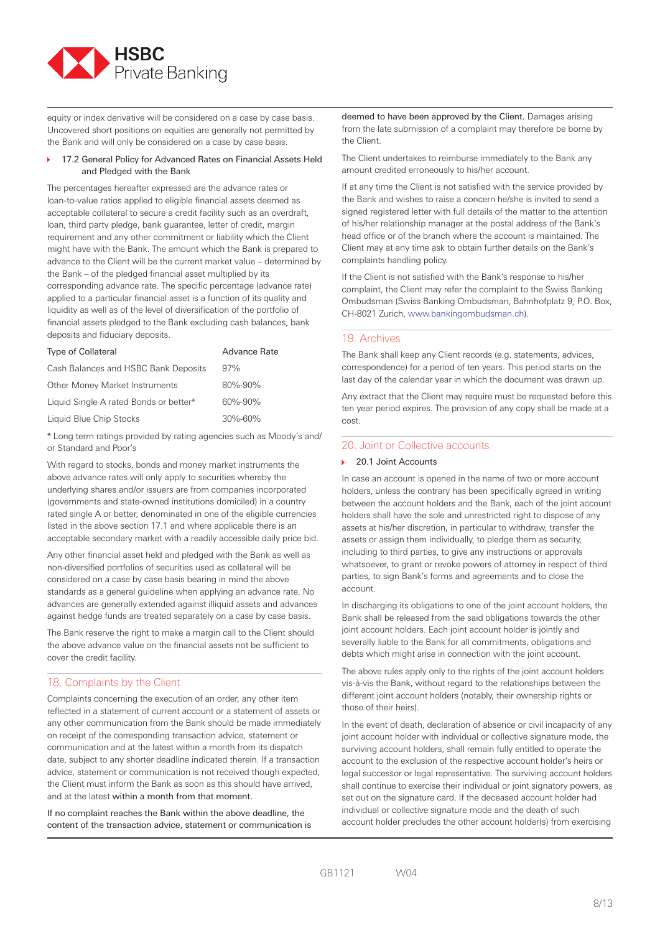

equity or index derivative will be considered on a case by case basis. Uncovered short positions on equities are generally not permitted by the Bank and will only be considered on a case by case basis.

#### 17.2 General Policy for Advanced Rates on Financial Assets Held and Pledged with the Bank

The percentages hereafter expressed are the advance rates or loan-to-value ratios applied to eligible financial assets deemed as acceptable collateral to secure a credit facility such as an overdraft, loan, third party pledge, bank guarantee, letter of credit, margin requirement and any other commitment or liability which the Client might have with the Bank. The amount which the Bank is prepared to advance to the Client will be the current market value – determined by the Bank – of the pledged financial asset multiplied by its corresponding advance rate. The specific percentage (advance rate) applied to a particular financial asset is a function of its quality and liquidity as well as of the level of diversification of the portfolio of financial assets pledged to the Bank excluding cash balances, bank deposits and fiduciary deposits.

| <b>Type of Collateral</b>              | <b>Advance Rate</b> |
|----------------------------------------|---------------------|
| Cash Balances and HSBC Bank Deposits   | 97%                 |
| Other Money Market Instruments         | 80%-90%             |
| Liquid Single A rated Bonds or better* | $60\% - 90\%$       |
| Liquid Blue Chip Stocks                | 30%-60%             |

\* Long term ratings provided by rating agencies such as Moody's and/ or Standard and Poor's

With regard to stocks, bonds and money market instruments the above advance rates will only apply to securities whereby the underlying shares and/or issuers are from companies incorporated (governments and state-owned institutions domiciled) in a country rated single A or better, denominated in one of the eligible currencies listed in the above section 17.1 and where applicable there is an acceptable secondary market with a readily accessible daily price bid.

Any other financial asset held and pledged with the Bank as well as non-diversified portfolios of securities used as collateral will be considered on a case by case basis bearing in mind the above standards as a general guideline when applying an advance rate. No advances are generally extended against illiquid assets and advances against hedge funds are treated separately on a case by case basis.

The Bank reserve the right to make a margin call to the Client should the above advance value on the financial assets not be sufficient to cover the credit facility.

# 18. Complaints by the Client

Complaints concerning the execution of an order, any other item reflected in a statement of current account or a statement of assets or any other communication from the Bank should be made immediately on receipt of the corresponding transaction advice, statement or communication and at the latest within a month from its dispatch date, subject to any shorter deadline indicated therein. If a transaction advice, statement or communication is not received though expected, the Client must inform the Bank as soon as this should have arrived, and at the latest within a month from that moment.

If no complaint reaches the Bank within the above deadline, the content of the transaction advice, statement or communication is deemed to have been approved by the Client. Damages arising from the late submission of a complaint may therefore be borne by the Client.

The Client undertakes to reimburse immediately to the Bank any amount credited erroneously to his/her account.

If at any time the Client is not satisfied with the service provided by the Bank and wishes to raise a concern he/she is invited to send a signed registered letter with full details of the matter to the attention of his/her relationship manager at the postal address of the Bank's head office or of the branch where the account is maintained. The Client may at any time ask to obtain further details on the Bank's complaints handling policy.

If the Client is not satisfied with the Bank's response to his/her complaint, the Client may refer the complaint to the Swiss Banking Ombudsman (Swiss Banking Ombudsman, Bahnhofplatz 9, P.O. Box, CH-8021 Zurich, www.bankingombudsman.ch).

# 19. Archives

The Bank shall keep any Client records (e.g. statements, advices, correspondence) for a period of ten years. This period starts on the last day of the calendar year in which the document was drawn up.

Any extract that the Client may require must be requested before this ten year period expires. The provision of any copy shall be made at a cost.

## 20. Joint or Collective accounts

#### 20.1 Joint Accounts

In case an account is opened in the name of two or more account holders, unless the contrary has been specifically agreed in writing between the account holders and the Bank, each of the joint account holders shall have the sole and unrestricted right to dispose of any assets at his/her discretion, in particular to withdraw, transfer the assets or assign them individually, to pledge them as security, including to third parties, to give any instructions or approvals whatsoever, to grant or revoke powers of attorney in respect of third parties, to sign Bank's forms and agreements and to close the account.

In discharging its obligations to one of the joint account holders, the Bank shall be released from the said obligations towards the other joint account holders. Each joint account holder is jointly and severally liable to the Bank for all commitments, obligations and debts which might arise in connection with the joint account.

The above rules apply only to the rights of the joint account holders vis-à-vis the Bank, without regard to the relationships between the different joint account holders (notably, their ownership rights or those of their heirs).

In the event of death, declaration of absence or civil incapacity of any joint account holder with individual or collective signature mode, the surviving account holders, shall remain fully entitled to operate the account to the exclusion of the respective account holder's heirs or legal successor or legal representative. The surviving account holders shall continue to exercise their individual or joint signatory powers, as set out on the signature card. If the deceased account holder had individual or collective signature mode and the death of such account holder precludes the other account holder(s) from exercising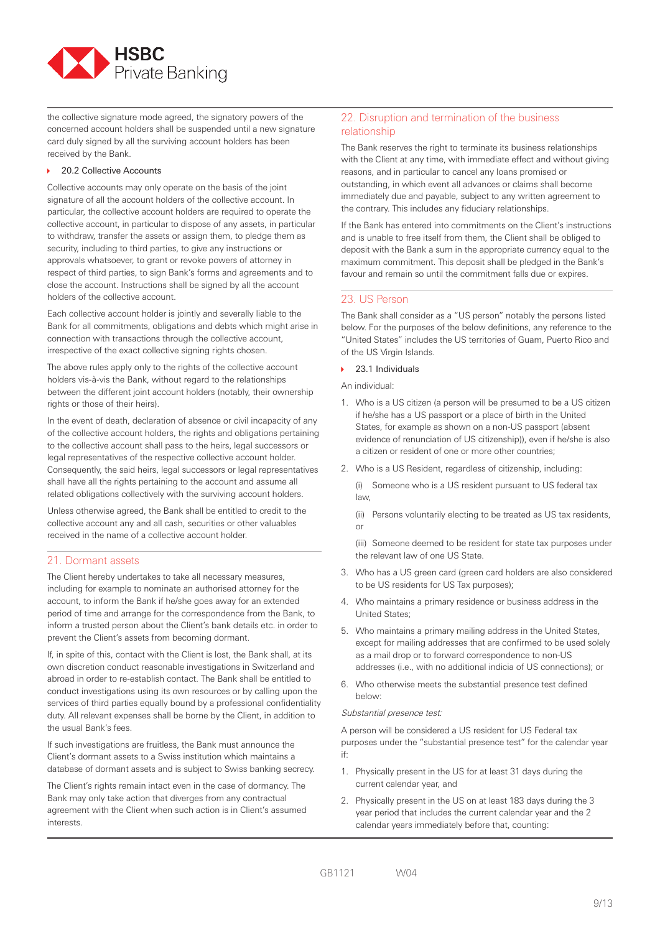

the collective signature mode agreed, the signatory powers of the concerned account holders shall be suspended until a new signature card duly signed by all the surviving account holders has been received by the Bank.

#### ▶ 20.2 Collective Accounts

Collective accounts may only operate on the basis of the joint signature of all the account holders of the collective account. In particular, the collective account holders are required to operate the collective account, in particular to dispose of any assets, in particular to withdraw, transfer the assets or assign them, to pledge them as security, including to third parties, to give any instructions or approvals whatsoever, to grant or revoke powers of attorney in respect of third parties, to sign Bank's forms and agreements and to close the account. Instructions shall be signed by all the account holders of the collective account.

Each collective account holder is jointly and severally liable to the Bank for all commitments, obligations and debts which might arise in connection with transactions through the collective account, irrespective of the exact collective signing rights chosen.

The above rules apply only to the rights of the collective account holders vis-à-vis the Bank, without regard to the relationships between the different joint account holders (notably, their ownership rights or those of their heirs).

In the event of death, declaration of absence or civil incapacity of any of the collective account holders, the rights and obligations pertaining to the collective account shall pass to the heirs, legal successors or legal representatives of the respective collective account holder. Consequently, the said heirs, legal successors or legal representatives shall have all the rights pertaining to the account and assume all related obligations collectively with the surviving account holders.

Unless otherwise agreed, the Bank shall be entitled to credit to the collective account any and all cash, securities or other valuables received in the name of a collective account holder.

# 21. Dormant assets

The Client hereby undertakes to take all necessary measures, including for example to nominate an authorised attorney for the account, to inform the Bank if he/she goes away for an extended period of time and arrange for the correspondence from the Bank, to inform a trusted person about the Client's bank details etc. in order to prevent the Client's assets from becoming dormant.

If, in spite of this, contact with the Client is lost, the Bank shall, at its own discretion conduct reasonable investigations in Switzerland and abroad in order to re-establish contact. The Bank shall be entitled to conduct investigations using its own resources or by calling upon the services of third parties equally bound by a professional confidentiality duty. All relevant expenses shall be borne by the Client, in addition to the usual Bank's fees.

If such investigations are fruitless, the Bank must announce the Client's dormant assets to a Swiss institution which maintains a database of dormant assets and is subject to Swiss banking secrecy.

The Client's rights remain intact even in the case of dormancy. The Bank may only take action that diverges from any contractual agreement with the Client when such action is in Client's assumed interests.

# 22. Disruption and termination of the business relationship

The Bank reserves the right to terminate its business relationships with the Client at any time, with immediate effect and without giving reasons, and in particular to cancel any loans promised or outstanding, in which event all advances or claims shall become immediately due and payable, subject to any written agreement to the contrary. This includes any fiduciary relationships.

If the Bank has entered into commitments on the Client's instructions and is unable to free itself from them, the Client shall be obliged to deposit with the Bank a sum in the appropriate currency equal to the maximum commitment. This deposit shall be pledged in the Bank's favour and remain so until the commitment falls due or expires.

# 23. US Person

The Bank shall consider as a "US person" notably the persons listed below. For the purposes of the below definitions, any reference to the "United States" includes the US territories of Guam, Puerto Rico and of the US Virgin Islands.

#### 23.1 Individuals

- An individual:
- 1. Who is a US citizen (a person will be presumed to be a US citizen if he/she has a US passport or a place of birth in the United States, for example as shown on a non-US passport (absent evidence of renunciation of US citizenship)), even if he/she is also a citizen or resident of one or more other countries;
- 2. Who is a US Resident, regardless of citizenship, including:

 (i) Someone who is a US resident pursuant to US federal tax law,

 (ii) Persons voluntarily electing to be treated as US tax residents, or

 (iii) Someone deemed to be resident for state tax purposes under the relevant law of one US State.

- 3. Who has a US green card (green card holders are also considered to be US residents for US Tax purposes);
- 4. Who maintains a primary residence or business address in the United States;
- 5. Who maintains a primary mailing address in the United States, except for mailing addresses that are confirmed to be used solely as a mail drop or to forward correspondence to non-US addresses (i.e., with no additional indicia of US connections); or
- 6. Who otherwise meets the substantial presence test defined below:

#### Substantial presence test:

A person will be considered a US resident for US Federal tax purposes under the "substantial presence test" for the calendar year if:

- 1. Physically present in the US for at least 31 days during the current calendar year, and
- 2. Physically present in the US on at least 183 days during the 3 year period that includes the current calendar year and the 2 calendar years immediately before that, counting: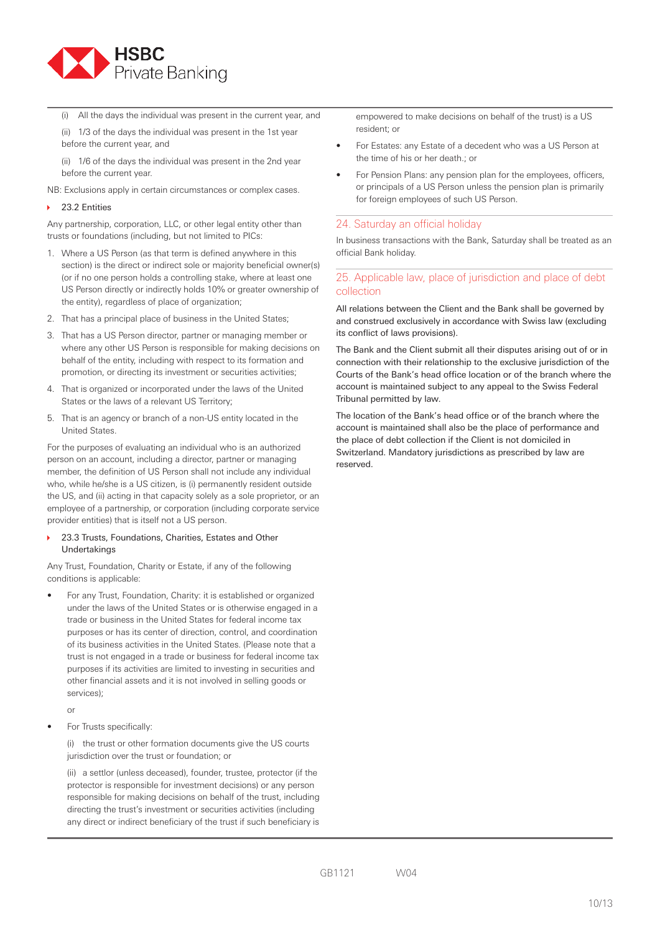

(i) All the days the individual was present in the current year, and

 (ii) 1/3 of the days the individual was present in the 1st year before the current year, and

 (ii) 1/6 of the days the individual was present in the 2nd year before the current year.

NB: Exclusions apply in certain circumstances or complex cases.

#### 23.2 Entities

Any partnership, corporation, LLC, or other legal entity other than trusts or foundations (including, but not limited to PICs:

- 1. Where a US Person (as that term is defined anywhere in this section) is the direct or indirect sole or majority beneficial owner(s) (or if no one person holds a controlling stake, where at least one US Person directly or indirectly holds 10% or greater ownership of the entity), regardless of place of organization;
- 2. That has a principal place of business in the United States;
- 3. That has a US Person director, partner or managing member or where any other US Person is responsible for making decisions on behalf of the entity, including with respect to its formation and promotion, or directing its investment or securities activities;
- 4. That is organized or incorporated under the laws of the United States or the laws of a relevant US Territory;
- 5. That is an agency or branch of a non-US entity located in the United States.

For the purposes of evaluating an individual who is an authorized person on an account, including a director, partner or managing member, the definition of US Person shall not include any individual who, while he/she is a US citizen, is (i) permanently resident outside the US, and (ii) acting in that capacity solely as a sole proprietor, or an employee of a partnership, or corporation (including corporate service provider entities) that is itself not a US person.

#### 23.3 Trusts, Foundations, Charities, Estates and Other Undertakings

Any Trust, Foundation, Charity or Estate, if any of the following conditions is applicable:

• For any Trust, Foundation, Charity: it is established or organized under the laws of the United States or is otherwise engaged in a trade or business in the United States for federal income tax purposes or has its center of direction, control, and coordination of its business activities in the United States. (Please note that a trust is not engaged in a trade or business for federal income tax purposes if its activities are limited to investing in securities and other financial assets and it is not involved in selling goods or services);

or

• For Trusts specifically:

 (i) the trust or other formation documents give the US courts jurisdiction over the trust or foundation; or

 (ii) a settlor (unless deceased), founder, trustee, protector (if the protector is responsible for investment decisions) or any person responsible for making decisions on behalf of the trust, including directing the trust's investment or securities activities (including any direct or indirect beneficiary of the trust if such beneficiary is empowered to make decisions on behalf of the trust) is a US resident; or

- For Estates: any Estate of a decedent who was a US Person at the time of his or her death.; or
- For Pension Plans: any pension plan for the employees, officers, or principals of a US Person unless the pension plan is primarily for foreign employees of such US Person.

## 24. Saturday an official holiday

In business transactions with the Bank, Saturday shall be treated as an official Bank holiday.

# 25. Applicable law, place of jurisdiction and place of debt collection

All relations between the Client and the Bank shall be governed by and construed exclusively in accordance with Swiss law (excluding its conflict of laws provisions).

The Bank and the Client submit all their disputes arising out of or in connection with their relationship to the exclusive jurisdiction of the Courts of the Bank's head office location or of the branch where the account is maintained subject to any appeal to the Swiss Federal Tribunal permitted by law.

The location of the Bank's head office or of the branch where the account is maintained shall also be the place of performance and the place of debt collection if the Client is not domiciled in Switzerland. Mandatory jurisdictions as prescribed by law are reserved.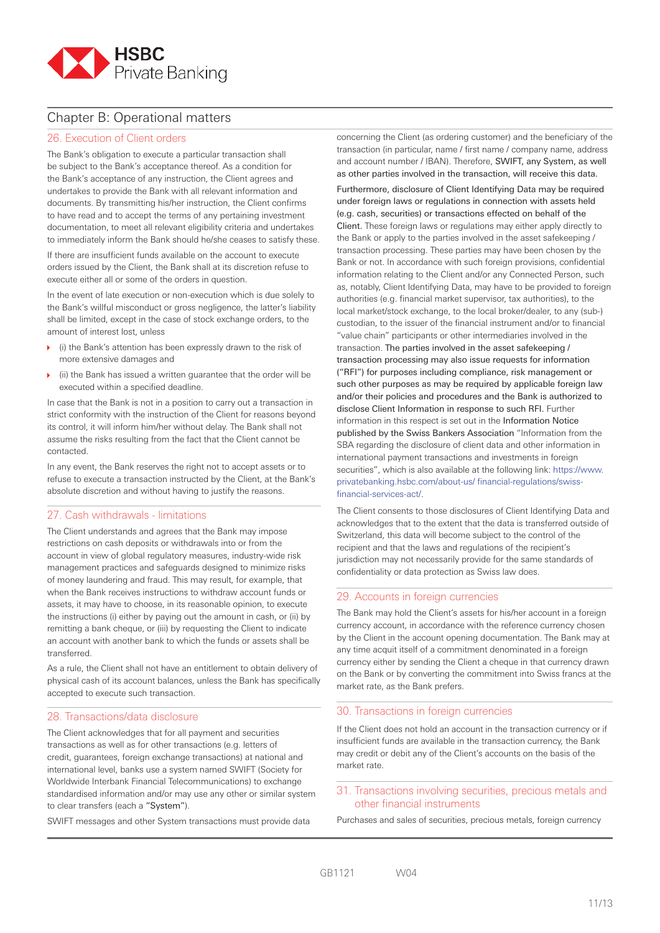

# Chapter B: Operational matters

# 26. Execution of Client orders

The Bank's obligation to execute a particular transaction shall be subject to the Bank's acceptance thereof. As a condition for the Bank's acceptance of any instruction, the Client agrees and undertakes to provide the Bank with all relevant information and documents. By transmitting his/her instruction, the Client confirms to have read and to accept the terms of any pertaining investment documentation, to meet all relevant eligibility criteria and undertakes to immediately inform the Bank should he/she ceases to satisfy these.

If there are insufficient funds available on the account to execute orders issued by the Client, the Bank shall at its discretion refuse to execute either all or some of the orders in question.

In the event of late execution or non-execution which is due solely to the Bank's willful misconduct or gross negligence, the latter's liability shall be limited, except in the case of stock exchange orders, to the amount of interest lost, unless

- (i) the Bank's attention has been expressly drawn to the risk of more extensive damages and
- (ii) the Bank has issued a written guarantee that the order will be executed within a specified deadline.

In case that the Bank is not in a position to carry out a transaction in strict conformity with the instruction of the Client for reasons beyond its control, it will inform him/her without delay. The Bank shall not assume the risks resulting from the fact that the Client cannot be contacted.

In any event, the Bank reserves the right not to accept assets or to refuse to execute a transaction instructed by the Client, at the Bank's absolute discretion and without having to justify the reasons.

# 27. Cash withdrawals - limitations

The Client understands and agrees that the Bank may impose restrictions on cash deposits or withdrawals into or from the account in view of global regulatory measures, industry-wide risk management practices and safeguards designed to minimize risks of money laundering and fraud. This may result, for example, that when the Bank receives instructions to withdraw account funds or assets, it may have to choose, in its reasonable opinion, to execute the instructions (i) either by paying out the amount in cash, or (ii) by remitting a bank cheque, or (iii) by requesting the Client to indicate an account with another bank to which the funds or assets shall be transferred.

As a rule, the Client shall not have an entitlement to obtain delivery of physical cash of its account balances, unless the Bank has specifically accepted to execute such transaction.

# 28. Transactions/data disclosure

The Client acknowledges that for all payment and securities transactions as well as for other transactions (e.g. letters of credit, guarantees, foreign exchange transactions) at national and international level, banks use a system named SWIFT (Society for Worldwide Interbank Financial Telecommunications) to exchange standardised information and/or may use any other or similar system to clear transfers (each a "System").

SWIFT messages and other System transactions must provide data

concerning the Client (as ordering customer) and the beneficiary of the transaction (in particular, name / first name / company name, address and account number / IBAN). Therefore, SWIFT, any System, as well as other parties involved in the transaction, will receive this data.

Furthermore, disclosure of Client Identifying Data may be required under foreign laws or regulations in connection with assets held (e.g. cash, securities) or transactions effected on behalf of the Client. These foreign laws or regulations may either apply directly to the Bank or apply to the parties involved in the asset safekeeping / transaction processing. These parties may have been chosen by the Bank or not. In accordance with such foreign provisions, confidential information relating to the Client and/or any Connected Person, such as, notably, Client Identifying Data, may have to be provided to foreign authorities (e.g. financial market supervisor, tax authorities), to the local market/stock exchange, to the local broker/dealer, to any (sub-) custodian, to the issuer of the financial instrument and/or to financial "value chain" participants or other intermediaries involved in the transaction. The parties involved in the asset safekeeping / transaction processing may also issue requests for information ("RFI") for purposes including compliance, risk management or such other purposes as may be required by applicable foreign law and/or their policies and procedures and the Bank is authorized to disclose Client Information in response to such RFI. Further information in this respect is set out in the Information Notice published by the Swiss Bankers Association "Information from the SBA regarding the disclosure of client data and other information in international payment transactions and investments in foreign securities", which is also available at the following link: https://www. privatebanking.hsbc.com/about-us/ financial-regulations/swissfinancial-services-act/.

The Client consents to those disclosures of Client Identifying Data and acknowledges that to the extent that the data is transferred outside of Switzerland, this data will become subject to the control of the recipient and that the laws and regulations of the recipient's jurisdiction may not necessarily provide for the same standards of confidentiality or data protection as Swiss law does.

# 29. Accounts in foreign currencies

The Bank may hold the Client's assets for his/her account in a foreign currency account, in accordance with the reference currency chosen by the Client in the account opening documentation. The Bank may at any time acquit itself of a commitment denominated in a foreign currency either by sending the Client a cheque in that currency drawn on the Bank or by converting the commitment into Swiss francs at the market rate, as the Bank prefers.

#### 30. Transactions in foreign currencies

If the Client does not hold an account in the transaction currency or if insufficient funds are available in the transaction currency, the Bank may credit or debit any of the Client's accounts on the basis of the market rate.

# 31. Transactions involving securities, precious metals and other financial instruments

Purchases and sales of securities, precious metals, foreign currency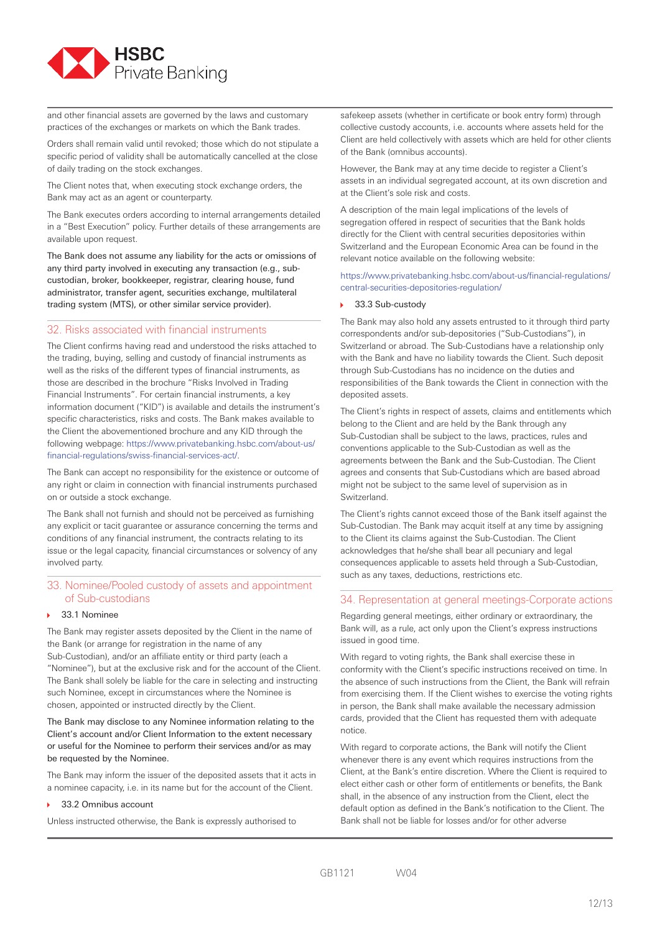

and other financial assets are governed by the laws and customary practices of the exchanges or markets on which the Bank trades.

Orders shall remain valid until revoked; those which do not stipulate a specific period of validity shall be automatically cancelled at the close of daily trading on the stock exchanges.

The Client notes that, when executing stock exchange orders, the Bank may act as an agent or counterparty.

The Bank executes orders according to internal arrangements detailed in a "Best Execution" policy. Further details of these arrangements are available upon request.

The Bank does not assume any liability for the acts or omissions of any third party involved in executing any transaction (e.g., subcustodian, broker, bookkeeper, registrar, clearing house, fund administrator, transfer agent, securities exchange, multilateral trading system (MTS), or other similar service provider).

# 32. Risks associated with financial instruments

The Client confirms having read and understood the risks attached to the trading, buying, selling and custody of financial instruments as well as the risks of the different types of financial instruments, as those are described in the brochure "Risks Involved in Trading Financial Instruments". For certain financial instruments, a key information document ("KID") is available and details the instrument's specific characteristics, risks and costs. The Bank makes available to the Client the abovementioned brochure and any KID through the following webpage: https://www.privatebanking.hsbc.com/about-us/ financial-regulations/swiss-financial-services-act/.

The Bank can accept no responsibility for the existence or outcome of any right or claim in connection with financial instruments purchased on or outside a stock exchange.

The Bank shall not furnish and should not be perceived as furnishing any explicit or tacit guarantee or assurance concerning the terms and conditions of any financial instrument, the contracts relating to its issue or the legal capacity, financial circumstances or solvency of any involved party.

# 33. Nominee/Pooled custody of assets and appointment of Sub-custodians

#### 33.1 Nominee

The Bank may register assets deposited by the Client in the name of the Bank (or arrange for registration in the name of any Sub-Custodian), and/or an affiliate entity or third party (each a "Nominee"), but at the exclusive risk and for the account of the Client. The Bank shall solely be liable for the care in selecting and instructing such Nominee, except in circumstances where the Nominee is chosen, appointed or instructed directly by the Client.

The Bank may disclose to any Nominee information relating to the Client's account and/or Client Information to the extent necessary or useful for the Nominee to perform their services and/or as may be requested by the Nominee.

The Bank may inform the issuer of the deposited assets that it acts in a nominee capacity, i.e. in its name but for the account of the Client.

#### ▶ 33.2 Omnibus account

Unless instructed otherwise, the Bank is expressly authorised to

safekeep assets (whether in certificate or book entry form) through collective custody accounts, i.e. accounts where assets held for the Client are held collectively with assets which are held for other clients of the Bank (omnibus accounts).

However, the Bank may at any time decide to register a Client's assets in an individual segregated account, at its own discretion and at the Client's sole risk and costs.

A description of the main legal implications of the levels of segregation offered in respect of securities that the Bank holds directly for the Client with central securities depositories within Switzerland and the European Economic Area can be found in the relevant notice available on the following website:

https://www.privatebanking.hsbc.com/about-us/financial-regulations/ central-securities-depositories-regulation/

#### 33.3 Sub-custody

The Bank may also hold any assets entrusted to it through third party correspondents and/or sub-depositories ("Sub-Custodians"), in Switzerland or abroad. The Sub-Custodians have a relationship only with the Bank and have no liability towards the Client. Such deposit through Sub-Custodians has no incidence on the duties and responsibilities of the Bank towards the Client in connection with the deposited assets.

The Client's rights in respect of assets, claims and entitlements which belong to the Client and are held by the Bank through any Sub-Custodian shall be subject to the laws, practices, rules and conventions applicable to the Sub-Custodian as well as the agreements between the Bank and the Sub-Custodian. The Client agrees and consents that Sub-Custodians which are based abroad might not be subject to the same level of supervision as in Switzerland.

The Client's rights cannot exceed those of the Bank itself against the Sub-Custodian. The Bank may acquit itself at any time by assigning to the Client its claims against the Sub-Custodian. The Client acknowledges that he/she shall bear all pecuniary and legal consequences applicable to assets held through a Sub-Custodian, such as any taxes, deductions, restrictions etc.

#### 34. Representation at general meetings-Corporate actions

Regarding general meetings, either ordinary or extraordinary, the Bank will, as a rule, act only upon the Client's express instructions issued in good time.

With regard to voting rights, the Bank shall exercise these in conformity with the Client's specific instructions received on time. In the absence of such instructions from the Client, the Bank will refrain from exercising them. If the Client wishes to exercise the voting rights in person, the Bank shall make available the necessary admission cards, provided that the Client has requested them with adequate notice.

With regard to corporate actions, the Bank will notify the Client whenever there is any event which requires instructions from the Client, at the Bank's entire discretion. Where the Client is required to elect either cash or other form of entitlements or benefits, the Bank shall, in the absence of any instruction from the Client, elect the default option as defined in the Bank's notification to the Client. The Bank shall not be liable for losses and/or for other adverse